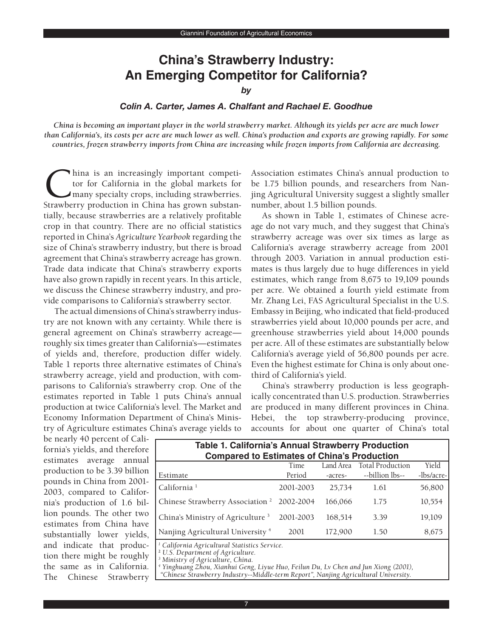# **China's Strawberry Industry: An Emerging Competitor for California?**

*by* 

## *Colin A. Carter, James A. Chalfant and Rachael E. Goodhue*

*China is becoming an important player in the world strawberry market. Although its yields per acre are much lower than California's, its costs per acre are much lower as well. China's production and exports are growing rapidly. For some countries, frozen strawberry imports from China are increasing while frozen imports from California are decreasing.* 

Thina is an increasingly important competitor for California in the global markets for many specialty crops, including strawberries. tor for California in the global markets for many specialty crops, including strawberries. Strawberry production in China has grown substantially, because strawberries are a relatively profitable crop in that country. There are no official statistics reported in China's *Agriculture Yearbook* regarding the size of China's strawberry industry, but there is broad agreement that China's strawberry acreage has grown. Trade data indicate that China's strawberry exports have also grown rapidly in recent years. In this article, we discuss the Chinese strawberry industry, and provide comparisons to California's strawberry sector.

The actual dimensions of China's strawberry industry are not known with any certainty. While there is general agreement on China's strawberry acreage roughly six times greater than California's—estimates of yields and, therefore, production differ widely. Table 1 reports three alternative estimates of China's strawberry acreage, yield and production, with comparisons to California's strawberry crop. One of the estimates reported in Table 1 puts China's annual production at twice California's level. The Market and Economy Information Department of China's Ministry of Agriculture estimates China's average yields to

Association estimates China's annual production to be 1.75 billion pounds, and researchers from Nanjing Agricultural University suggest a slightly smaller number, about 1.5 billion pounds.

As shown in Table 1, estimates of Chinese acreage do not vary much, and they suggest that China's strawberry acreage was over six times as large as California's average strawberry acreage from 2001 through 2003. Variation in annual production estimates is thus largely due to huge differences in yield estimates, which range from 8,675 to 19,109 pounds per acre. We obtained a fourth yield estimate from Mr. Zhang Lei, FAS Agricultural Specialist in the U.S. Embassy in Beijing, who indicated that field-produced strawberries yield about 10,000 pounds per acre, and greenhouse strawberries yield about 14,000 pounds per acre. All of these estimates are substantially below California's average yield of 56,800 pounds per acre. Even the highest estimate for China is only about onethird of California's yield.

China's strawberry production is less geographically concentrated than U.S. production. Strawberries are produced in many different provinces in China. Hebei, the top strawberry-producing province, accounts for about one quarter of China's total

be nearly 40 percent of California's yields, and therefore estimates average annual production to be 3.39 billion pounds in China from 2001- 2003, compared to California's production of 1.6 billion pounds. The other two estimates from China have substantially lower yields, and indicate that production there might be roughly the same as in California. The Chinese Strawberry

| Table 1. California's Annual Strawberry Production                                                                                                                                                                                                         |           |           |                  |            |  |  |
|------------------------------------------------------------------------------------------------------------------------------------------------------------------------------------------------------------------------------------------------------------|-----------|-----------|------------------|------------|--|--|
| <b>Compared to Estimates of China's Production</b>                                                                                                                                                                                                         |           |           |                  |            |  |  |
|                                                                                                                                                                                                                                                            | Time      | Land Area | Total Production | Yield      |  |  |
| Estimate                                                                                                                                                                                                                                                   | Period    | -acres-   | --billion lbs--  | -lbs/acre- |  |  |
| California $1$                                                                                                                                                                                                                                             | 2001-2003 | 25.734    | 1.61             | 56,800     |  |  |
| Chinese Strawberry Association <sup>2</sup> 2002-2004                                                                                                                                                                                                      |           | 166,066   | 1.75             | 10,554     |  |  |
| China's Ministry of Agriculture <sup>3</sup>                                                                                                                                                                                                               | 2001-2003 | 168,514   | 3.39             | 19,109     |  |  |
| Nanjing Agricultural University <sup>4</sup>                                                                                                                                                                                                               | 2001      | 172,900   | 1.50             | 8,675      |  |  |
| <sup>1</sup> California Agricultural Statistics Service.<br><sup>2</sup> U.S. Department of Agriculture.<br><sup>3</sup> Ministry of Agriculture, China.<br><sup>4</sup> Yinghuang Zhou, Xianhui Geng, Liyue Huo, Feilun Du, Lv Chen and Jun Xiong (2001), |           |           |                  |            |  |  |

 *"Chinese Strawberry Industry--Middle-term Report", Nanjing Agricultural University.*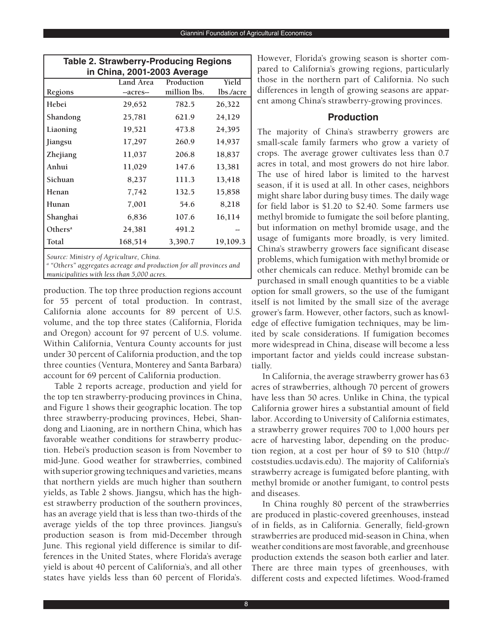| <b>Table 2. Strawberry-Producing Regions</b> |           |              |           |  |  |  |
|----------------------------------------------|-----------|--------------|-----------|--|--|--|
| in China, 2001-2003 Average                  |           |              |           |  |  |  |
|                                              | Land Area | Production   | Yield     |  |  |  |
| Regions                                      | --acres-- | million lbs. | lbs./acre |  |  |  |
| Hebei                                        | 29,652    | 782.5        | 26,322    |  |  |  |
| Shandong                                     | 25,781    | 621.9        | 24,129    |  |  |  |
| Liaoning                                     | 19,521    | 473.8        | 24,395    |  |  |  |
| Jiangsu                                      | 17,297    | 260.9        | 14,937    |  |  |  |
| <b>Zhejiang</b>                              | 11,037    | 206.8        | 18,837    |  |  |  |
| Anhui                                        | 11,029    | 147.6        | 13,381    |  |  |  |
| Sichuan                                      | 8,237     | 111.3        | 13,418    |  |  |  |
| Henan                                        | 7,742     | 132.5        | 15,858    |  |  |  |
| Hunan                                        | 7.001     | 54.6         | 8,218     |  |  |  |
| Shanghai                                     | 6,836     | 107.6        | 16,114    |  |  |  |
| Others <sup>a</sup>                          | 24,381    | 491.2        |           |  |  |  |
| Total                                        | 168,514   | 3,390.7      | 19,109.3  |  |  |  |
|                                              |           |              |           |  |  |  |

*Source: Ministry of Agriculture, China.* 

<sup>a</sup> "Others" aggregates acreage and production for all provinces and *municipalities with less than 5,000 acres.* 

production. The top three production regions account for 55 percent of total production. In contrast, California alone accounts for 89 percent of U.S. volume, and the top three states (California, Florida and Oregon) account for 97 percent of U.S. volume. Within California, Ventura County accounts for just under 30 percent of California production, and the top three counties (Ventura, Monterey and Santa Barbara) account for 69 percent of California production.

Table 2 reports acreage, production and yield for the top ten strawberry-producing provinces in China, and Figure 1 shows their geographic location. The top three strawberry-producing provinces, Hebei, Shandong and Liaoning, are in northern China, which has favorable weather conditions for strawberry production. Hebei's production season is from November to mid-June. Good weather for strawberries, combined with superior growing techniques and varieties, means that northern yields are much higher than southern yields, as Table 2 shows. Jiangsu, which has the highest strawberry production of the southern provinces, has an average yield that is less than two-thirds of the average yields of the top three provinces. Jiangsu's production season is from mid-December through June. This regional yield difference is similar to differences in the United States, where Florida's average yield is about 40 percent of California's, and all other states have yields less than 60 percent of Florida's.

However, Florida's growing season is shorter compared to California's growing regions, particularly those in the northern part of California. No such differences in length of growing seasons are apparent among China's strawberry-growing provinces.

## **Production**

The majority of China's strawberry growers are small-scale family farmers who grow a variety of crops. The average grower cultivates less than 0.7 acres in total, and most growers do not hire labor. The use of hired labor is limited to the harvest season, if it is used at all. In other cases, neighbors might share labor during busy times. The daily wage for field labor is \$1.20 to \$2.40. Some farmers use methyl bromide to fumigate the soil before planting, but information on methyl bromide usage, and the usage of fumigants more broadly, is very limited. China's strawberry growers face significant disease problems, which fumigation with methyl bromide or other chemicals can reduce. Methyl bromide can be purchased in small enough quantities to be a viable option for small growers, so the use of the fumigant itself is not limited by the small size of the average grower's farm. However, other factors, such as knowledge of effective fumigation techniques, may be limited by scale considerations. If fumigation becomes more widespread in China, disease will become a less important factor and yields could increase substantially.

In California, the average strawberry grower has 63 acres of strawberries, although 70 percent of growers have less than 50 acres. Unlike in China, the typical California grower hires a substantial amount of field labor. According to University of California estimates, a strawberry grower requires 700 to 1,000 hours per acre of harvesting labor, depending on the production region, at a cost per hour of \$9 to \$10 (http:// coststudies.ucdavis.edu). The majority of California's strawberry acreage is fumigated before planting, with methyl bromide or another fumigant, to control pests and diseases.

In China roughly 80 percent of the strawberries are produced in plastic-covered greenhouses, instead of in fields, as in California. Generally, field-grown strawberries are produced mid-season in China, when weather conditions are most favorable, and greenhouse production extends the season both earlier and later. There are three main types of greenhouses, with different costs and expected lifetimes. Wood-framed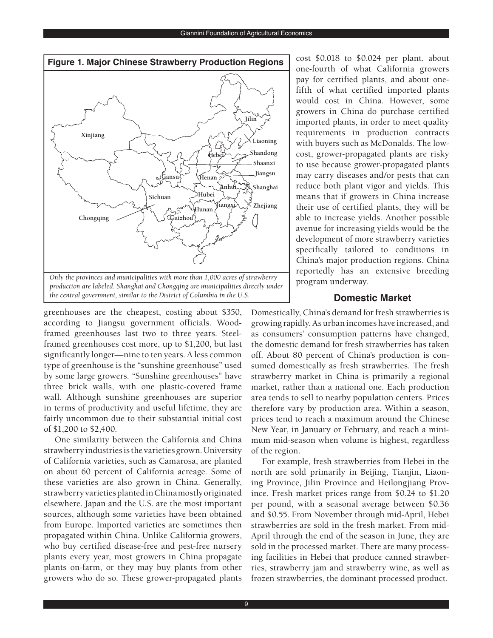

greenhouses are the cheapest, costing about \$350, according to Jiangsu government officials. Woodframed greenhouses last two to three years. Steelframed greenhouses cost more, up to \$1,200, but last significantly longer—nine to ten years. A less common type of greenhouse is the "sunshine greenhouse" used by some large growers. "Sunshine greenhouses" have three brick walls, with one plastic-covered frame wall. Although sunshine greenhouses are superior in terms of productivity and useful lifetime, they are fairly uncommon due to their substantial initial cost of \$1,200 to \$2,400.

One similarity between the California and China strawberry industries is the varieties grown. University of California varieties, such as Camarosa, are planted on about 60 percent of California acreage. Some of these varieties are also grown in China. Generally, strawberry varieties planted in China mostly originated elsewhere. Japan and the U.S. are the most important sources, although some varieties have been obtained from Europe. Imported varieties are sometimes then propagated within China. Unlike California growers, who buy certified disease-free and pest-free nursery plants every year, most growers in China propagate plants on-farm, or they may buy plants from other growers who do so. These grower-propagated plants

cost \$0.018 to \$0.024 per plant, about one-fourth of what California growers pay for certified plants, and about onefifth of what certified imported plants would cost in China. However, some growers in China do purchase certified imported plants, in order to meet quality requirements in production contracts with buyers such as McDonalds. The lowcost, grower-propagated plants are risky to use because grower-propagated plants may carry diseases and/or pests that can reduce both plant vigor and yields. This means that if growers in China increase their use of certified plants, they will be able to increase yields. Another possible avenue for increasing yields would be the development of more strawberry varieties specifically tailored to conditions in China's major production regions. China reportedly has an extensive breeding program underway.

## **Domestic Market**

Domestically, China's demand for fresh strawberries is growing rapidly. As urban incomes have increased, and as consumers' consumption patterns have changed, the domestic demand for fresh strawberries has taken off. About 80 percent of China's production is consumed domestically as fresh strawberries. The fresh strawberry market in China is primarily a regional market, rather than a national one. Each production area tends to sell to nearby population centers. Prices therefore vary by production area. Within a season, prices tend to reach a maximum around the Chinese New Year, in January or February, and reach a minimum mid-season when volume is highest, regardless of the region.

For example, fresh strawberries from Hebei in the north are sold primarily in Beijing, Tianjin, Liaoning Province, Jilin Province and Heilongjiang Province. Fresh market prices range from \$0.24 to \$1.20 per pound, with a seasonal average between \$0.36 and \$0.55. From November through mid-April, Hebei strawberries are sold in the fresh market. From mid-April through the end of the season in June, they are sold in the processed market. There are many processing facilities in Hebei that produce canned strawberries, strawberry jam and strawberry wine, as well as frozen strawberries, the dominant processed product.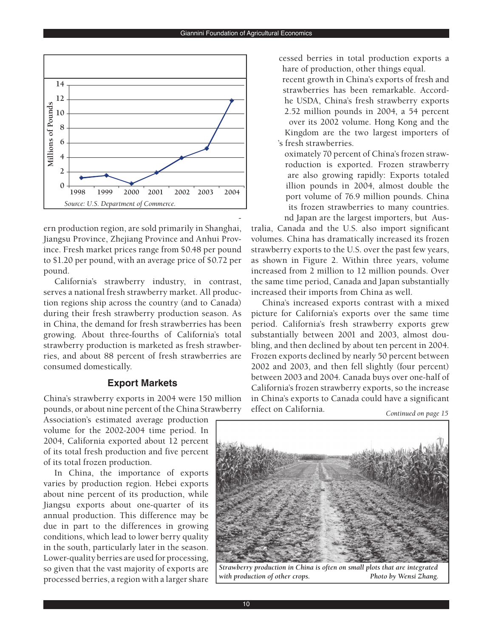

ern production region, are sold primarily in Shanghai, Jiangsu Province, Zhejiang Province and Anhui Province. Fresh market prices range from \$0.48 per pound to \$1.20 per pound, with an average price of \$0.72 per pound.

California's strawberry industry, in contrast, serves a national fresh strawberry market. All production regions ship across the country (and to Canada) during their fresh strawberry production season. As in China, the demand for fresh strawberries has been growing. About three-fourths of California's total strawberry production is marketed as fresh strawberries, and about 88 percent of fresh strawberries are consumed domestically.

#### **Export Markets**

China's strawberry exports in 2004 were 150 million pounds, or about nine percent of the China Strawberry

Association's estimated average production volume for the 2002-2004 time period. In 2004, California exported about 12 percent of its total fresh production and five percent of its total frozen production.

In China, the importance of exports varies by production region. Hebei exports about nine percent of its production, while Jiangsu exports about one-quarter of its annual production. This difference may be due in part to the differences in growing conditions, which lead to lower berry quality in the south, particularly later in the season. Lower-quality berries are used for processing, so given that the vast majority of exports are processed berries, a region with a larger share

cessed berries in total production exports a hare of production, other things equal.

recent growth in China's exports of fresh and strawberries has been remarkable. Accordhe USDA, China's fresh strawberry exports 2.52 million pounds in 2004, a 54 percent over its 2002 volume. Hong Kong and the Kingdom are the two largest importers of 's fresh strawberries.

oximately 70 percent of China's frozen strawroduction is exported. Frozen strawberry are also growing rapidly: Exports totaled illion pounds in 2004, almost double the port volume of 76.9 million pounds. China its frozen strawberries to many countries. nd Japan are the largest importers, but Aus-

tralia, Canada and the U.S. also import significant volumes. China has dramatically increased its frozen strawberry exports to the U.S. over the past few years, as shown in Figure 2. Within three years, volume increased from 2 million to 12 million pounds. Over the same time period, Canada and Japan substantially increased their imports from China as well.

China's increased exports contrast with a mixed picture for California's exports over the same time period. California's fresh strawberry exports grew substantially between 2001 and 2003, almost doubling, and then declined by about ten percent in 2004. Frozen exports declined by nearly 50 percent between 2002 and 2003, and then fell slightly (four percent) between 2003 and 2004. Canada buys over one-half of California's frozen strawberry exports, so the increase in China's exports to Canada could have a significant effect on California. *Continued on page 15* 



*Strawberry production in China is often on small plots that are integrated with production of other crops. Photo by Wensi Zhang.*